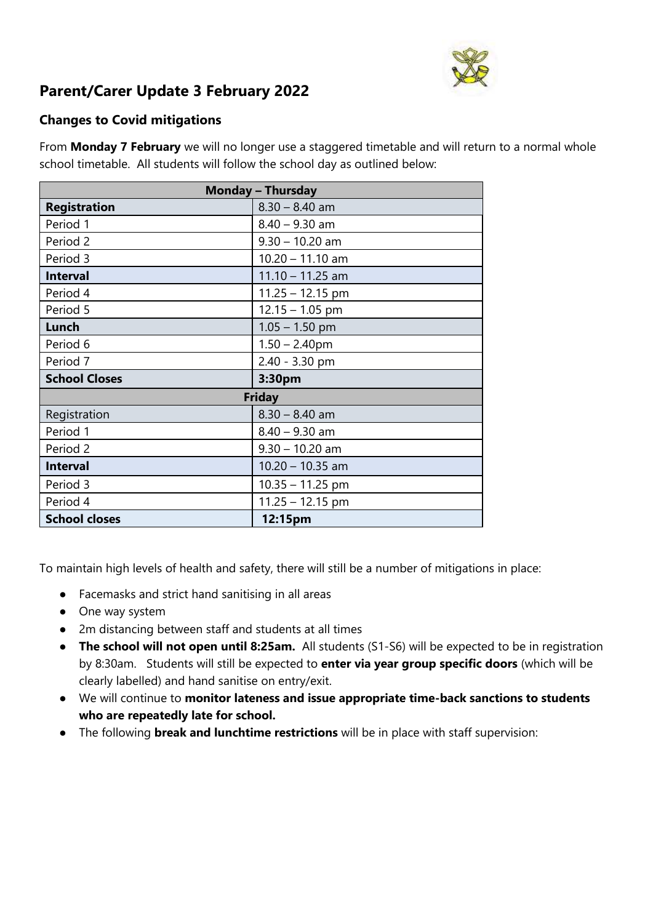

# **Parent/Carer Update 3 February 2022**

## **Changes to Covid mitigations**

From **Monday 7 February** we will no longer use a staggered timetable and will return to a normal whole school timetable. All students will follow the school day as outlined below:

| <b>Monday - Thursday</b> |                    |  |
|--------------------------|--------------------|--|
| <b>Registration</b>      | $8.30 - 8.40$ am   |  |
| Period 1                 | $8.40 - 9.30$ am   |  |
| Period 2                 | $9.30 - 10.20$ am  |  |
| Period 3                 | $10.20 - 11.10$ am |  |
| <b>Interval</b>          | $11.10 - 11.25$ am |  |
| Period 4                 | $11.25 - 12.15$ pm |  |
| Period 5                 | $12.15 - 1.05$ pm  |  |
| Lunch                    | $1.05 - 1.50$ pm   |  |
| Period 6                 | $1.50 - 2.40$ pm   |  |
| Period 7                 | 2.40 - 3.30 pm     |  |
| <b>School Closes</b>     | 3:30pm             |  |
| <b>Friday</b>            |                    |  |
| Registration             | $8.30 - 8.40$ am   |  |
| Period 1                 | $8.40 - 9.30$ am   |  |
| Period 2                 | $9.30 - 10.20$ am  |  |
| <b>Interval</b>          | $10.20 - 10.35$ am |  |
| Period 3                 | $10.35 - 11.25$ pm |  |
| Period 4                 | $11.25 - 12.15$ pm |  |
| <b>School closes</b>     | 12:15pm            |  |

To maintain high levels of health and safety, there will still be a number of mitigations in place:

- Facemasks and strict hand sanitising in all areas
- One way system
- 2m distancing between staff and students at all times
- **The school will not open until 8:25am.** All students (S1-S6) will be expected to be in registration by 8:30am. Students will still be expected to **enter via year group specific doors** (which will be clearly labelled) and hand sanitise on entry/exit.
- We will continue to **monitor lateness and issue appropriate time-back sanctions to students who are repeatedly late for school.**
- The following **break and lunchtime restrictions** will be in place with staff supervision: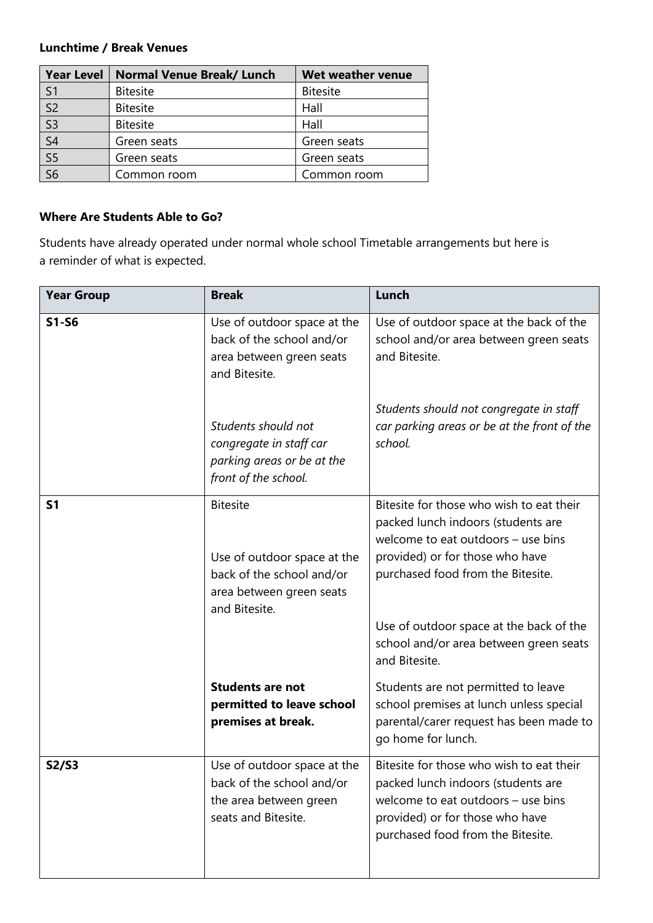#### **Lunchtime / Break Venues**

| Year Level                            | <b>Normal Venue Break/ Lunch</b> | Wet weather venue |
|---------------------------------------|----------------------------------|-------------------|
| S <sub>1</sub>                        | <b>Bitesite</b>                  | <b>Bitesite</b>   |
| $\overline{\mathsf{S}2}$              | <b>Bitesite</b>                  | Hall              |
| $\overline{\mathsf{S}3}$              | <b>Bitesite</b>                  | Hall              |
| $\overline{\mathsf{S}4}$              | Green seats                      | Green seats       |
| $\frac{\overline{S5}}{\overline{S6}}$ | Green seats                      | Green seats       |
|                                       | Common room                      | Common room       |

### **Where Are Students Able to Go?**

Students have already operated under normal whole school Timetable arrangements but here is a reminder of what is expected.

| <b>Year Group</b> | <b>Break</b>                                                                                                             | Lunch                                                                                                                                                                                                                                                                                              |
|-------------------|--------------------------------------------------------------------------------------------------------------------------|----------------------------------------------------------------------------------------------------------------------------------------------------------------------------------------------------------------------------------------------------------------------------------------------------|
| $S1-S6$           | Use of outdoor space at the<br>back of the school and/or<br>area between green seats<br>and Bitesite.                    | Use of outdoor space at the back of the<br>school and/or area between green seats<br>and Bitesite.                                                                                                                                                                                                 |
|                   | Students should not<br>congregate in staff car<br>parking areas or be at the<br>front of the school.                     | Students should not congregate in staff<br>car parking areas or be at the front of the<br>school.                                                                                                                                                                                                  |
| <b>S1</b>         | <b>Bitesite</b><br>Use of outdoor space at the<br>back of the school and/or<br>area between green seats<br>and Bitesite. | Bitesite for those who wish to eat their<br>packed lunch indoors (students are<br>welcome to eat outdoors - use bins<br>provided) or for those who have<br>purchased food from the Bitesite.<br>Use of outdoor space at the back of the<br>school and/or area between green seats<br>and Bitesite. |
|                   | <b>Students are not</b><br>permitted to leave school<br>premises at break.                                               | Students are not permitted to leave<br>school premises at lunch unless special<br>parental/carer request has been made to<br>go home for lunch.                                                                                                                                                    |
| S2/S3             | Use of outdoor space at the<br>back of the school and/or<br>the area between green<br>seats and Bitesite.                | Bitesite for those who wish to eat their<br>packed lunch indoors (students are<br>welcome to eat outdoors - use bins<br>provided) or for those who have<br>purchased food from the Bitesite.                                                                                                       |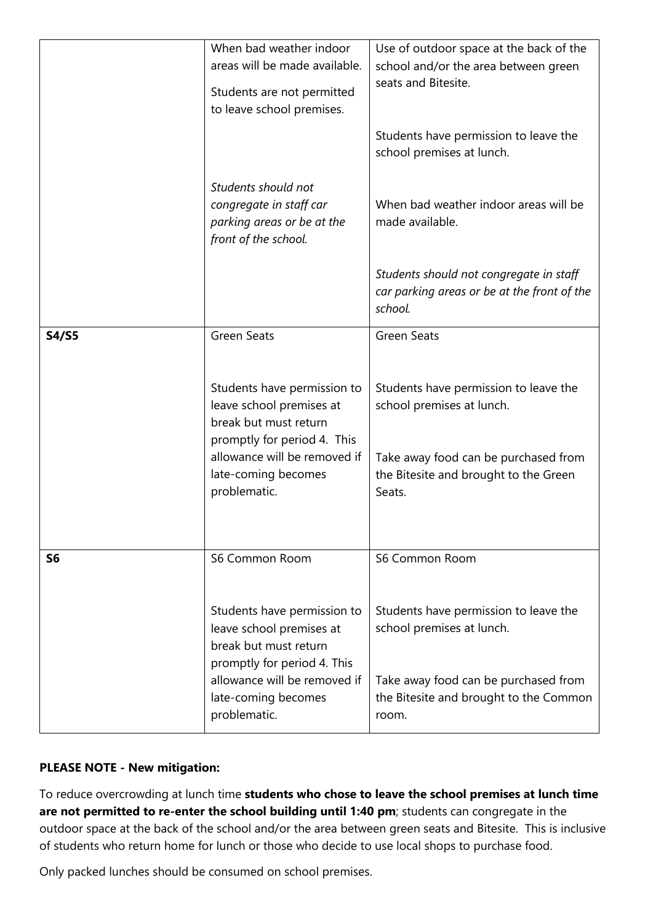| <b>S4/S5</b>   | <b>Green Seats</b>                                                                                              | <b>Green Seats</b>                                                                      |
|----------------|-----------------------------------------------------------------------------------------------------------------|-----------------------------------------------------------------------------------------|
|                | Students have permission to<br>leave school premises at                                                         | Students have permission to leave the<br>school premises at lunch.                      |
|                |                                                                                                                 |                                                                                         |
|                | break but must return<br>promptly for period 4. This                                                            |                                                                                         |
|                | allowance will be removed if<br>late-coming becomes<br>problematic.                                             | Take away food can be purchased from<br>the Bitesite and brought to the Green<br>Seats. |
|                |                                                                                                                 |                                                                                         |
| S <sub>6</sub> | S6 Common Room                                                                                                  | S6 Common Room                                                                          |
|                | Students have permission to<br>leave school premises at<br>break but must return<br>promptly for period 4. This | Students have permission to leave the<br>school premises at lunch.                      |

## **PLEASE NOTE - New mitigation:**

To reduce overcrowding at lunch time **students who chose to leave the school premises at lunch time are not permitted to re-enter the school building until 1:40 pm**; students can congregate in the outdoor space at the back of the school and/or the area between green seats and Bitesite. This is inclusive of students who return home for lunch or those who decide to use local shops to purchase food.

Only packed lunches should be consumed on school premises.